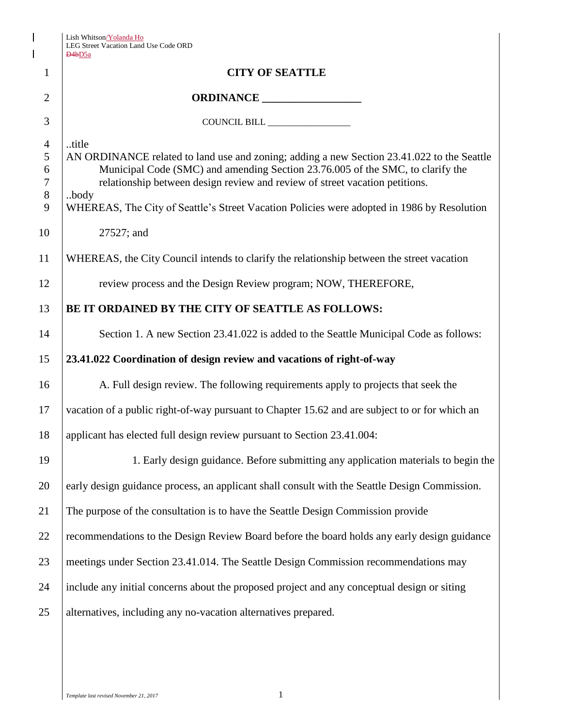| Lish Whitson/Yolanda Ho               |
|---------------------------------------|
| LEG Street Vacation Land Use Code ORD |
| $\Box$ $\Box$ $\Box$                  |

 $\mathbf{l}$  $\begin{array}{c} \hline \end{array}$ 

|                                             | LEG Street Vacation Land Use Code ORD<br>D <sub>4</sub> b <sub>D5a</sub>                                                                                                                                                                                                                                                                                                   |  |  |
|---------------------------------------------|----------------------------------------------------------------------------------------------------------------------------------------------------------------------------------------------------------------------------------------------------------------------------------------------------------------------------------------------------------------------------|--|--|
| $\mathbf{1}$                                | <b>CITY OF SEATTLE</b>                                                                                                                                                                                                                                                                                                                                                     |  |  |
| $\overline{2}$                              | ORDINANCE ___________________                                                                                                                                                                                                                                                                                                                                              |  |  |
| 3                                           | COUNCIL BILL                                                                                                                                                                                                                                                                                                                                                               |  |  |
| $\overline{4}$<br>5<br>6<br>7<br>$8\,$<br>9 | title<br>AN ORDINANCE related to land use and zoning; adding a new Section 23.41.022 to the Seattle<br>Municipal Code (SMC) and amending Section 23.76.005 of the SMC, to clarify the<br>relationship between design review and review of street vacation petitions.<br>body<br>WHEREAS, The City of Seattle's Street Vacation Policies were adopted in 1986 by Resolution |  |  |
| 10                                          | 27527; and                                                                                                                                                                                                                                                                                                                                                                 |  |  |
| 11                                          | WHEREAS, the City Council intends to clarify the relationship between the street vacation                                                                                                                                                                                                                                                                                  |  |  |
| 12                                          | review process and the Design Review program; NOW, THEREFORE,                                                                                                                                                                                                                                                                                                              |  |  |
| 13                                          | BE IT ORDAINED BY THE CITY OF SEATTLE AS FOLLOWS:                                                                                                                                                                                                                                                                                                                          |  |  |
| 14                                          | Section 1. A new Section 23.41.022 is added to the Seattle Municipal Code as follows:                                                                                                                                                                                                                                                                                      |  |  |
| 15                                          | 23.41.022 Coordination of design review and vacations of right-of-way                                                                                                                                                                                                                                                                                                      |  |  |
| 16                                          | A. Full design review. The following requirements apply to projects that seek the                                                                                                                                                                                                                                                                                          |  |  |
| 17                                          | vacation of a public right-of-way pursuant to Chapter 15.62 and are subject to or for which an                                                                                                                                                                                                                                                                             |  |  |
| 18                                          | applicant has elected full design review pursuant to Section 23.41.004:                                                                                                                                                                                                                                                                                                    |  |  |
| 19                                          | 1. Early design guidance. Before submitting any application materials to begin the                                                                                                                                                                                                                                                                                         |  |  |
| 20                                          | early design guidance process, an applicant shall consult with the Seattle Design Commission.                                                                                                                                                                                                                                                                              |  |  |
| 21                                          | The purpose of the consultation is to have the Seattle Design Commission provide                                                                                                                                                                                                                                                                                           |  |  |
| 22                                          | recommendations to the Design Review Board before the board holds any early design guidance                                                                                                                                                                                                                                                                                |  |  |
| 23                                          | meetings under Section 23.41.014. The Seattle Design Commission recommendations may                                                                                                                                                                                                                                                                                        |  |  |
| 24                                          | include any initial concerns about the proposed project and any conceptual design or siting                                                                                                                                                                                                                                                                                |  |  |
| 25                                          | alternatives, including any no-vacation alternatives prepared.                                                                                                                                                                                                                                                                                                             |  |  |
|                                             |                                                                                                                                                                                                                                                                                                                                                                            |  |  |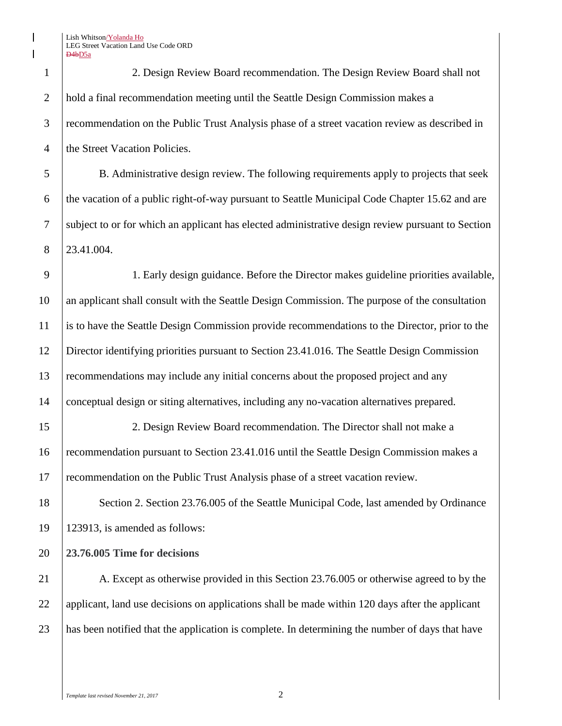Lish Whitson/Yolanda Ho LEG Street Vacation Land Use Code ORD D4bD5a

 2. Design Review Board recommendation. The Design Review Board shall not hold a final recommendation meeting until the Seattle Design Commission makes a recommendation on the Public Trust Analysis phase of a street vacation review as described in 4 the Street Vacation Policies.

 B. Administrative design review. The following requirements apply to projects that seek 6 the vacation of a public right-of-way pursuant to Seattle Municipal Code Chapter 15.62 and are subject to or for which an applicant has elected administrative design review pursuant to Section 23.41.004.

 1. Early design guidance. Before the Director makes guideline priorities available, an applicant shall consult with the Seattle Design Commission. The purpose of the consultation is to have the Seattle Design Commission provide recommendations to the Director, prior to the Director identifying priorities pursuant to Section 23.41.016. The Seattle Design Commission recommendations may include any initial concerns about the proposed project and any conceptual design or siting alternatives, including any no-vacation alternatives prepared.

 2. Design Review Board recommendation. The Director shall not make a recommendation pursuant to Section 23.41.016 until the Seattle Design Commission makes a recommendation on the Public Trust Analysis phase of a street vacation review.

18 Section 2. Section 23.76.005 of the Seattle Municipal Code, last amended by Ordinance 123913, is amended as follows:

**23.76.005 Time for decisions**

21 A. Except as otherwise provided in this Section 23.76.005 or otherwise agreed to by the 22 applicant, land use decisions on applications shall be made within 120 days after the applicant has been notified that the application is complete. In determining the number of days that have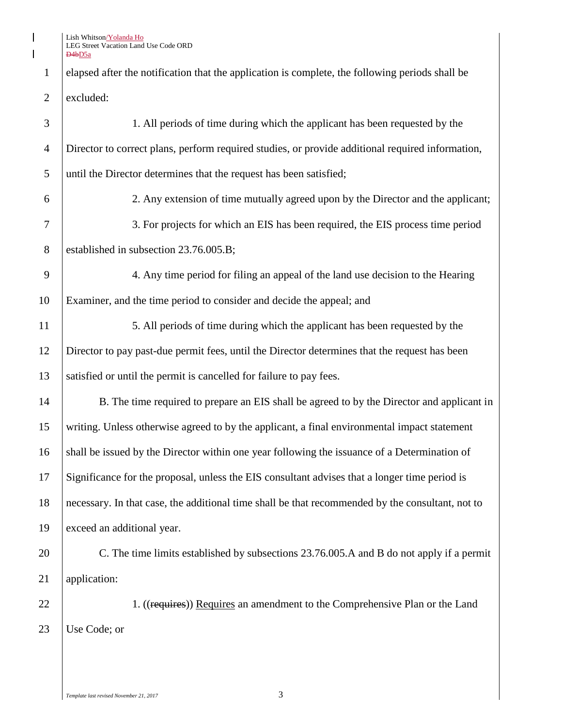Lish Whitson<u>/Yolanda Ho</u> LEG Street Vacation Land Use Code ORD D4bD5a

 $\begin{array}{c} \hline \end{array}$  $\overline{\phantom{a}}$ 

> 1 elapsed after the notification that the application is complete, the following periods shall be excluded:

| 3              | 1. All periods of time during which the applicant has been requested by the                      |  |
|----------------|--------------------------------------------------------------------------------------------------|--|
| $\overline{4}$ | Director to correct plans, perform required studies, or provide additional required information, |  |
| 5              | until the Director determines that the request has been satisfied;                               |  |
| 6              | 2. Any extension of time mutually agreed upon by the Director and the applicant;                 |  |
| 7              | 3. For projects for which an EIS has been required, the EIS process time period                  |  |
| 8              | established in subsection 23.76.005.B;                                                           |  |
| 9              | 4. Any time period for filing an appeal of the land use decision to the Hearing                  |  |
| 10             | Examiner, and the time period to consider and decide the appeal; and                             |  |
| 11             | 5. All periods of time during which the applicant has been requested by the                      |  |
| 12             | Director to pay past-due permit fees, until the Director determines that the request has been    |  |
| 13             | satisfied or until the permit is cancelled for failure to pay fees.                              |  |
| 14             | B. The time required to prepare an EIS shall be agreed to by the Director and applicant in       |  |
| 15             | writing. Unless otherwise agreed to by the applicant, a final environmental impact statement     |  |
| 16             | shall be issued by the Director within one year following the issuance of a Determination of     |  |
| 17             | Significance for the proposal, unless the EIS consultant advises that a longer time period is    |  |
| 18             | necessary. In that case, the additional time shall be that recommended by the consultant, not to |  |
| 19             | exceed an additional year.                                                                       |  |
| 20             | C. The time limits established by subsections 23.76.005.A and B do not apply if a permit         |  |
| 21             | application:                                                                                     |  |
| 22             | 1. ((requires)) Requires an amendment to the Comprehensive Plan or the Land                      |  |
| 23             | Use Code; or                                                                                     |  |
|                |                                                                                                  |  |
|                |                                                                                                  |  |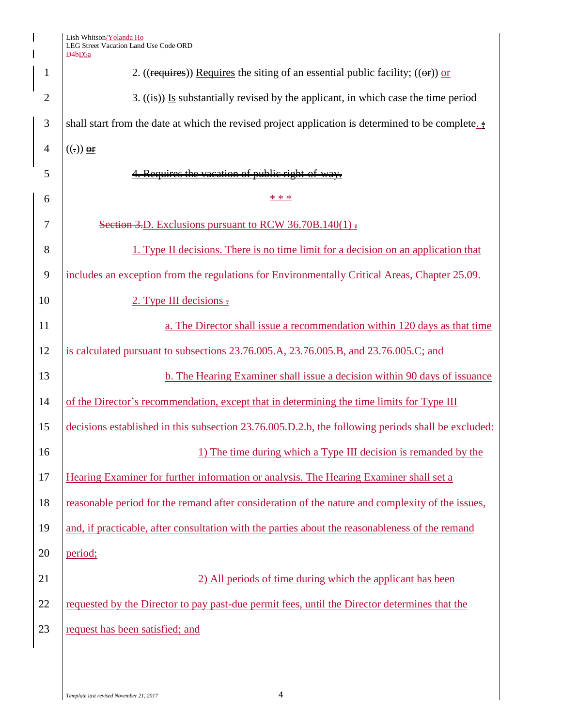|                | Lish Whitson/Yolanda Ho<br>LEG Street Vacation Land Use Code ORD<br>D <sub>4</sub> b <sub>D5a</sub> |  |  |  |
|----------------|-----------------------------------------------------------------------------------------------------|--|--|--|
| 1              | 2. ((requires)) Requires the siting of an essential public facility; (( $\Theta$ )) or              |  |  |  |
| $\overline{2}$ | 3. $((\mathbf{is})$ Is substantially revised by the applicant, in which case the time period        |  |  |  |
| 3              | shall start from the date at which the revised project application is determined to be complete.    |  |  |  |
| $\overline{4}$ | $((.))$ or                                                                                          |  |  |  |
| 5              | 4. Requires the vacation of public right-of-way.                                                    |  |  |  |
| 6              | * * *                                                                                               |  |  |  |
| 7              | Section 3.D. Exclusions pursuant to RCW 36.70B.140(1) $\overline{.}$                                |  |  |  |
| 8              | 1. Type II decisions. There is no time limit for a decision on an application that                  |  |  |  |
| 9              | includes an exception from the regulations for Environmentally Critical Areas, Chapter 25.09.       |  |  |  |
| 10             | 2. Type III decisions $\overline{z}$                                                                |  |  |  |
| 11             | a. The Director shall issue a recommendation within 120 days as that time                           |  |  |  |
| 12             | is calculated pursuant to subsections 23.76.005.A, 23.76.005.B, and 23.76.005.C; and                |  |  |  |
| 13             | b. The Hearing Examiner shall issue a decision within 90 days of issuance                           |  |  |  |
| 14             | of the Director's recommendation, except that in determining the time limits for Type III           |  |  |  |
| 15             | decisions established in this subsection 23.76.005.D.2.b, the following periods shall be excluded:  |  |  |  |
| 16             | 1) The time during which a Type III decision is remanded by the                                     |  |  |  |
| 17             | Hearing Examiner for further information or analysis. The Hearing Examiner shall set a              |  |  |  |
| 18             | reasonable period for the remand after consideration of the nature and complexity of the issues,    |  |  |  |
| 19             | and, if practicable, after consultation with the parties about the reasonableness of the remand     |  |  |  |
| 20             | period;                                                                                             |  |  |  |
| 21             | 2) All periods of time during which the applicant has been                                          |  |  |  |
| 22             | requested by the Director to pay past-due permit fees, until the Director determines that the       |  |  |  |
| 23             | request has been satisfied; and                                                                     |  |  |  |
|                |                                                                                                     |  |  |  |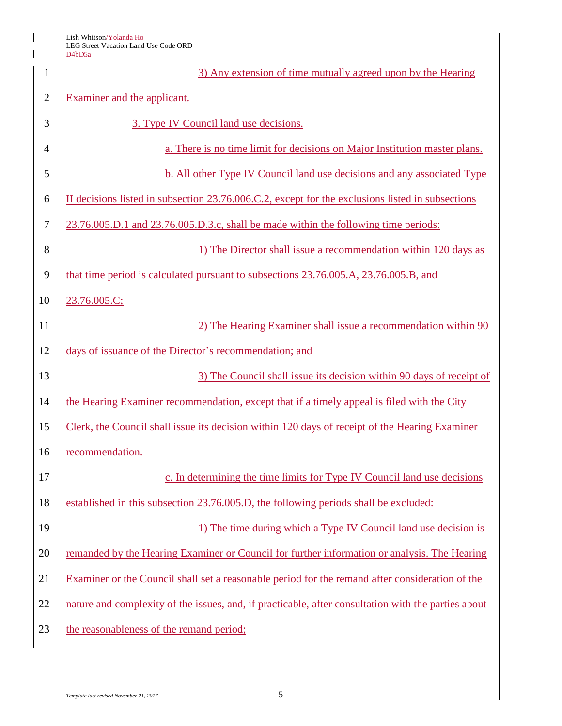Lish Whitson<u>/Yolanda Ho</u> LEG Street Vacation Land Use Code ORD

 $\overline{\phantom{a}}$ 

|                | D4bD5a                                                                                              |  |
|----------------|-----------------------------------------------------------------------------------------------------|--|
| $\mathbf{1}$   | 3) Any extension of time mutually agreed upon by the Hearing                                        |  |
| $\mathbf{2}$   | Examiner and the applicant.                                                                         |  |
| 3              | 3. Type IV Council land use decisions.                                                              |  |
| $\overline{4}$ | a. There is no time limit for decisions on Major Institution master plans.                          |  |
| 5              | b. All other Type IV Council land use decisions and any associated Type                             |  |
| 6              | II decisions listed in subsection 23.76.006.C.2, except for the exclusions listed in subsections    |  |
| $\tau$         | 23.76.005.D.1 and 23.76.005.D.3.c, shall be made within the following time periods:                 |  |
| 8              | 1) The Director shall issue a recommendation within 120 days as                                     |  |
| 9              | that time period is calculated pursuant to subsections 23.76.005.A, 23.76.005.B, and                |  |
| 10             | 23.76.005.C;                                                                                        |  |
| 11             | 2) The Hearing Examiner shall issue a recommendation within 90                                      |  |
| 12             | days of issuance of the Director's recommendation; and                                              |  |
| 13             | 3) The Council shall issue its decision within 90 days of receipt of                                |  |
| 14             | the Hearing Examiner recommendation, except that if a timely appeal is filed with the City          |  |
| 15             | Clerk, the Council shall issue its decision within 120 days of receipt of the Hearing Examiner      |  |
| 16             | recommendation.                                                                                     |  |
| 17             | c. In determining the time limits for Type IV Council land use decisions                            |  |
| 18             | established in this subsection 23.76.005.D, the following periods shall be excluded:                |  |
| 19             | 1) The time during which a Type IV Council land use decision is                                     |  |
| 20             | remanded by the Hearing Examiner or Council for further information or analysis. The Hearing        |  |
| 21             | Examiner or the Council shall set a reasonable period for the remand after consideration of the     |  |
| 22             | nature and complexity of the issues, and, if practicable, after consultation with the parties about |  |
| 23             | the reasonableness of the remand period;                                                            |  |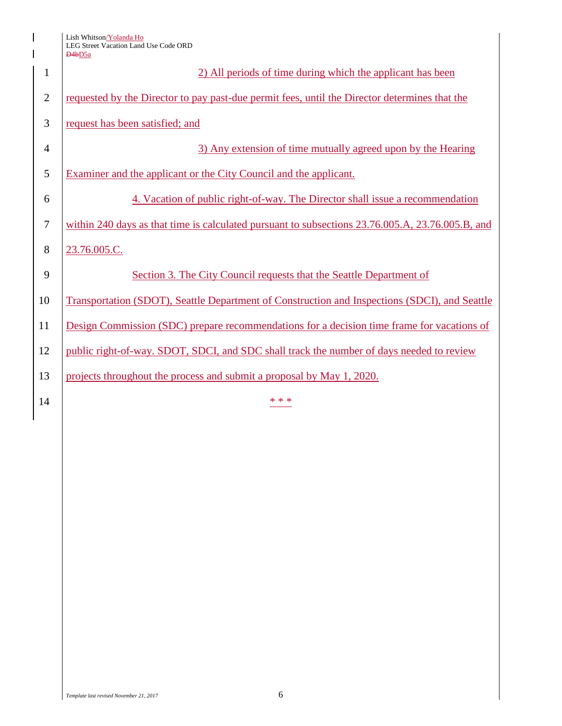Lish Whitson<u>/Yolanda Ho</u> LEG Street Vacation Land Use Code ORD D4bD5a

 $\mathsf{l}$ 

| $\mathbf{1}$   | 2) All periods of time during which the applicant has been                                       |  |
|----------------|--------------------------------------------------------------------------------------------------|--|
| $\overline{2}$ | requested by the Director to pay past-due permit fees, until the Director determines that the    |  |
| 3              | request has been satisfied; and                                                                  |  |
| $\overline{4}$ | 3) Any extension of time mutually agreed upon by the Hearing                                     |  |
| 5              | Examiner and the applicant or the City Council and the applicant.                                |  |
| 6              | 4. Vacation of public right-of-way. The Director shall issue a recommendation                    |  |
| $\overline{7}$ | within 240 days as that time is calculated pursuant to subsections 23.76.005.A, 23.76.005.B, and |  |
| 8              | 23.76.005.C.                                                                                     |  |
| 9              | Section 3. The City Council requests that the Seattle Department of                              |  |
| 10             | Transportation (SDOT), Seattle Department of Construction and Inspections (SDCI), and Seattle    |  |
| 11             | Design Commission (SDC) prepare recommendations for a decision time frame for vacations of       |  |
| 12             | public right-of-way. SDOT, SDCI, and SDC shall track the number of days needed to review         |  |
| 13             | projects throughout the process and submit a proposal by May 1, 2020.                            |  |
| 14             | * * *                                                                                            |  |